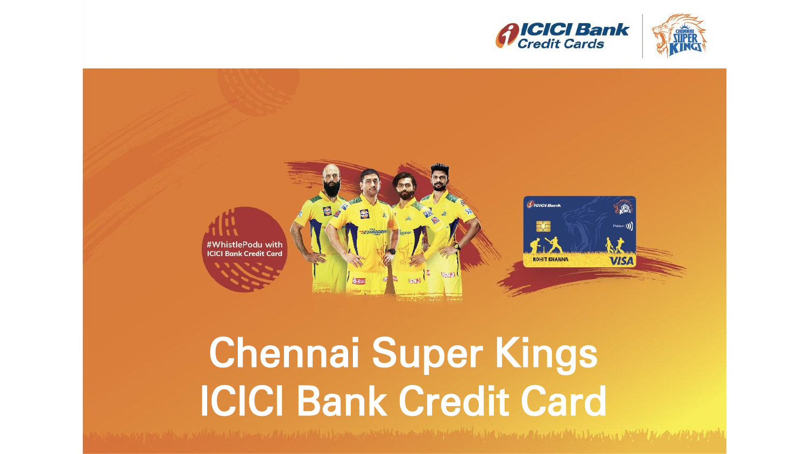





# Chennai Super Kings ICICI Bank Credit Card

المحتوية المستخدمة المستخدمة المستخدمة المستخدمة المستخدمة والمستخدمة المستخدمة المستخدمة المستخدمة والمستخدمة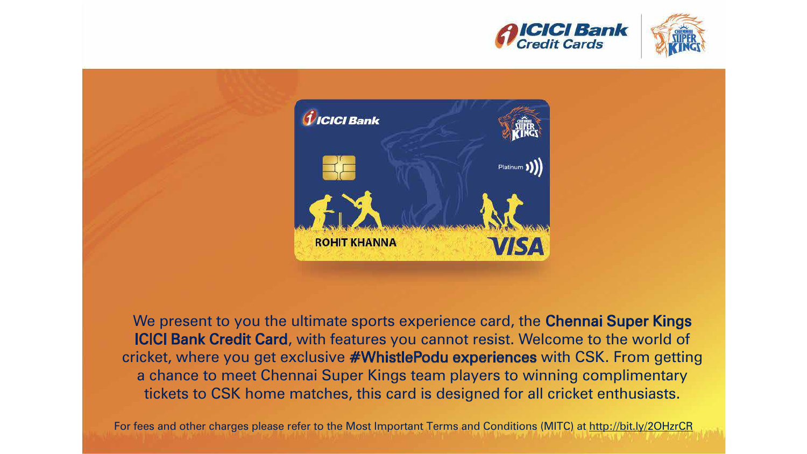





We present to you the ultimate sports experience card, the Chennai Super Kings ICICI Bank Credit Card, with features you cannot resist. Welcome to the world of cricket, where you get exclusive #WhistlePodu experiences with CSK. From getting a chance to meet Chennai Super Kings team players to winning complimentary tickets to CSK home matches, this card is designed for all cricket enthusiasts.

For fees and other charges please refer to the Most Important Terms and Conditions (MITC) at http://bit.ly/2OHzrCR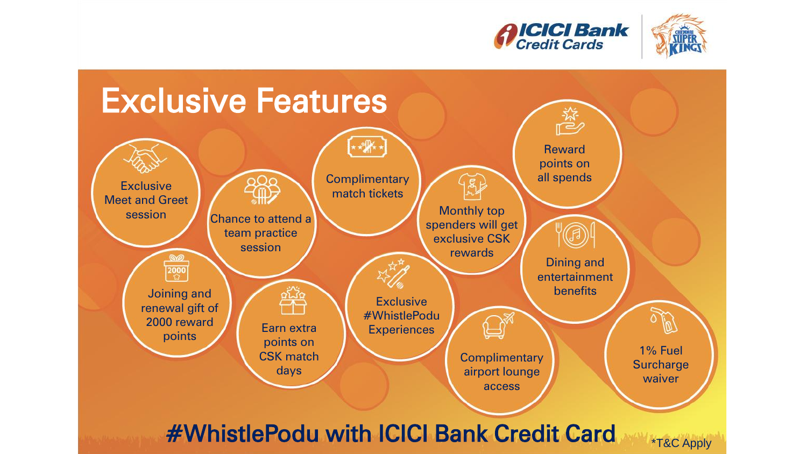



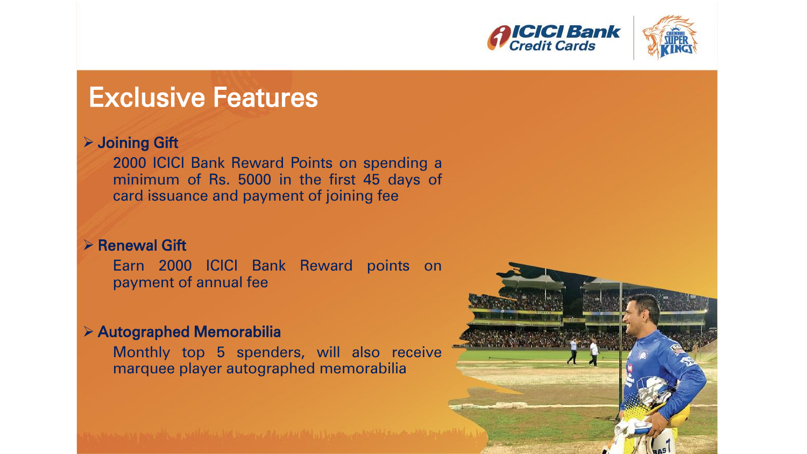



### Exclusive Features

#### Joining Gift

2000 ICICI Bank Reward Points on spending a minimum of Rs. 5000 in the first 45 days of card issuance and payment of joining fee

#### $\triangleright$  Renewal Gift

Earn 2000 ICICI Bank Reward points on payment of annual fee

#### Autographed Memorabilia

Monthly top 5 spenders, will also receive marquee player autographed memorabilia

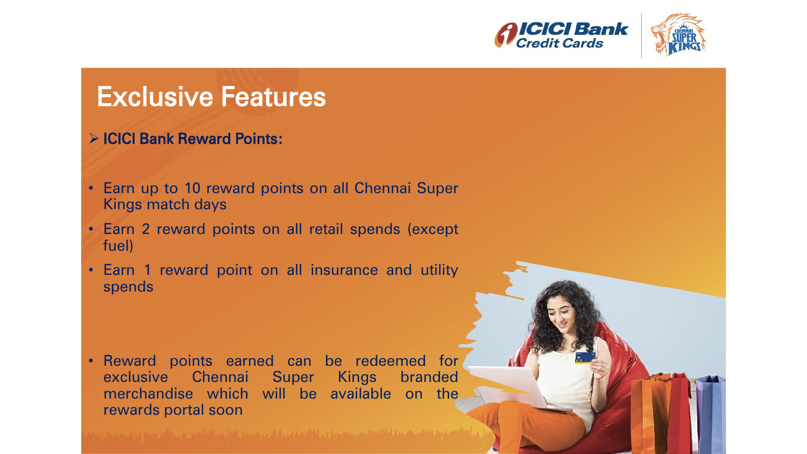



## Exclusive Features

#### ICICI Bank Reward Points:

- Earn up to 10 reward points on all Chennai Super Kings match days
- Earn 2 reward points on all retail spends (except fuel)
- Earn 1 reward point on all insurance and utility spends

• Reward points earned can be redeemed for exclusive Chennai Super Kings branded merchandise which will be available on the rewards portal soon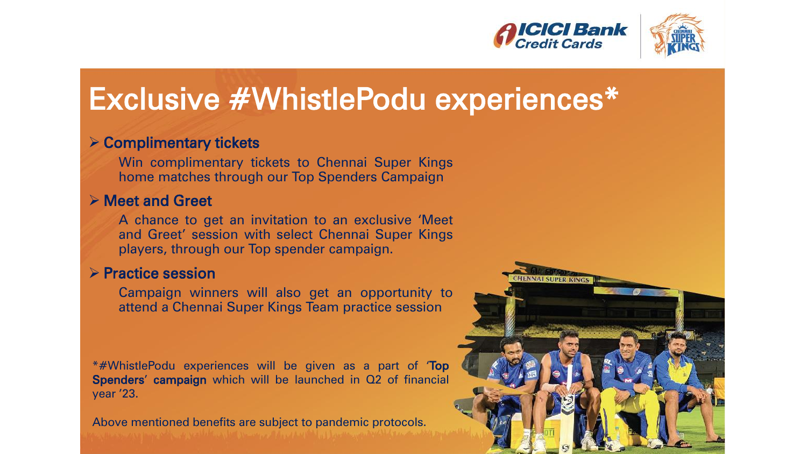



# Exclusive #WhistlePodu experiences\*

#### **≻ Complimentary tickets**

Win complimentary tickets to Chennai Super Kings home matches through our Top Spenders Campaign

#### **▶ Meet and Greet**

A chance to get an invitation to an exclusive 'Meet and Greet' session with select Chennai Super Kings players, through our Top spender campaign.

#### $\triangleright$  Practice session

Campaign winners will also get an opportunity to attend a Chennai Super Kings Team practice session

\*#WhistlePodu experiences will be given as a part of 'Top Spenders' campaign which will be launched in Q2 of financial year '23.

Above mentioned benefits are subject to pandemic protocols.

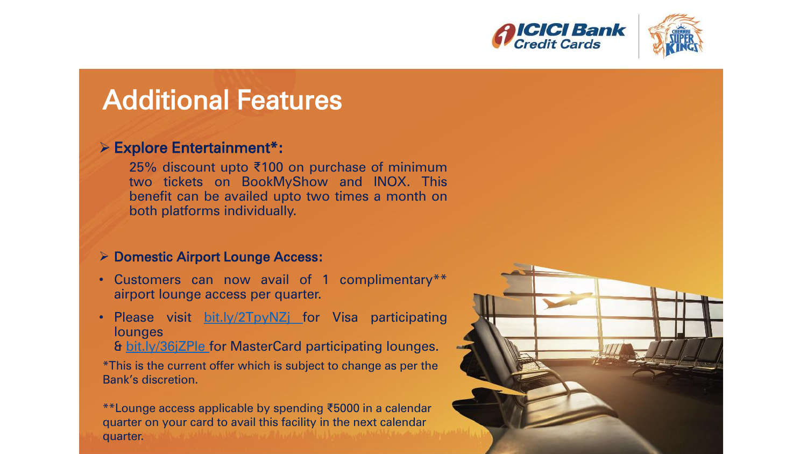



# Additional Features

#### Explore Entertainment\*:

25% discount upto ₹100 on purchase of minimum two tickets on BookMyShow and INOX. This benefit can be availed upto two times a month on both platforms individually.

#### **▶ Domestic Airport Lounge Access:**

- Customers can now avail of 1 complimentary\*\* airport lounge access per quarter.
- Please visit [bit.ly/2TpyNZj](https://bit.ly/2TpyNZj) for Visa participating **lounges** 
	- & [bit.ly/36jZPIe](https://bit.ly/36jZPIe) for MasterCard participating lounges.

\*This is the current offer which is subject to change as per the Bank's discretion.

\*\*Lounge access applicable by spending ₹5000 in a calendar quarter on your card to avail this facility in the next calendar quarter.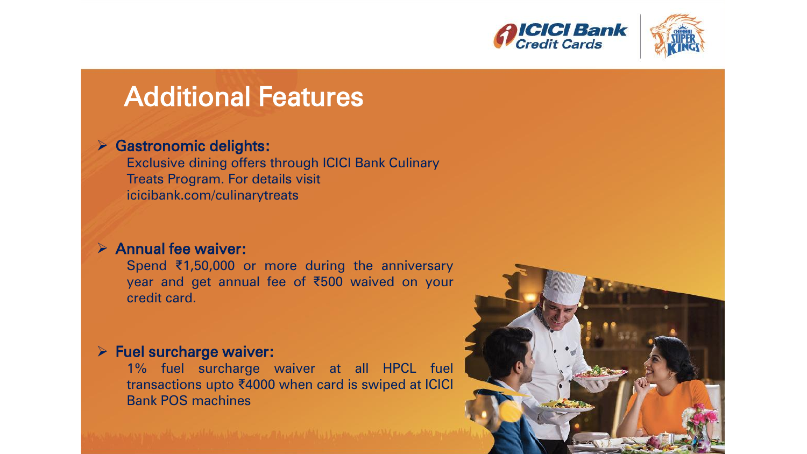



## Additional Features

#### **▶ Gastronomic delights:**

Exclusive dining offers through ICICI Bank Culinary Treats Program. For details visit icicibank.com/culinarytreats

#### $\triangleright$  Annual fee waiver:

Spend ₹1,50,000 or more during the anniversary year and get annual fee of ₹500 waived on your credit card.

#### $\triangleright$  Fuel surcharge waiver:

1% fuel surcharge waiver at all HPCL fuel transactions upto ₹4000 when card is swiped at ICICI Bank POS machines

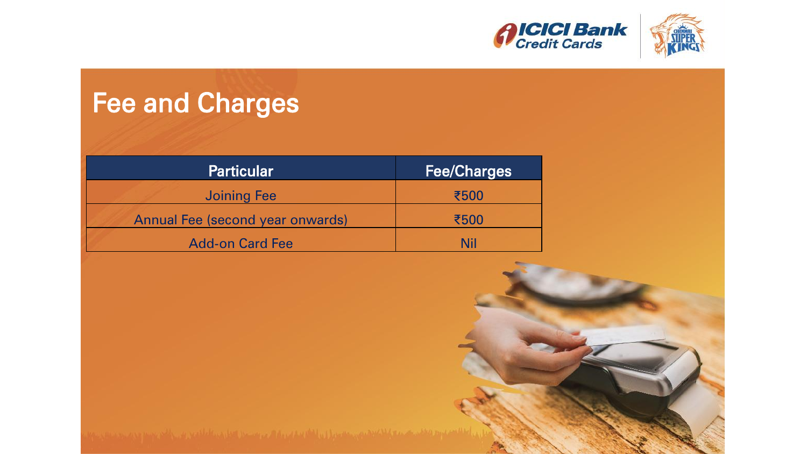



# Fee and Charges

| <b>Particular</b>                       | <b>Fee/Charges</b> |
|-----------------------------------------|--------------------|
| <b>Joining Fee</b>                      | ₹500               |
| <b>Annual Fee (second year onwards)</b> | ₹500               |
| <b>Add-on Card Fee</b>                  | Nil                |